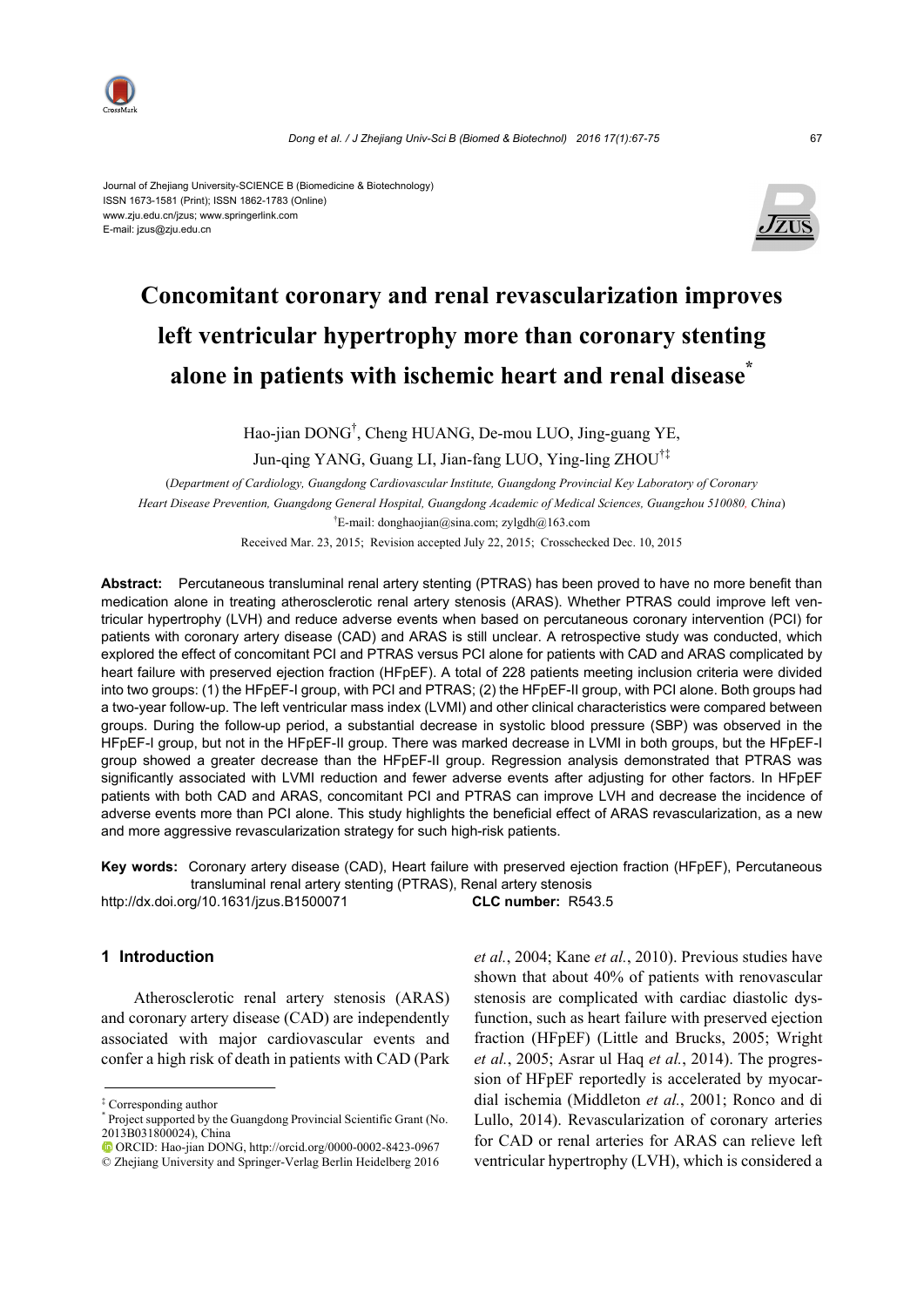

#### Journal of Zhejiang University-SCIENCE B (Biomedicine & Biotechnology) ISSN 1673-1581 (Print); ISSN 1862-1783 (Online) www.zju.edu.cn/jzus; www.springerlink.com E-mail: jzus@zju.edu.cn



# **Concomitant coronary and renal revascularization improves left ventricular hypertrophy more than coronary stenting alone in patients with ischemic heart and renal disease\***

Hao-jian DONG† , Cheng HUANG, De-mou LUO, Jing-guang YE,

Jun-qing YANG, Guang LI, Jian-fang LUO, Ying-ling ZHOU†‡

(*Department of Cardiology, Guangdong Cardiovascular Institute, Guangdong Provincial Key Laboratory of Coronary Heart Disease Prevention, Guangdong General Hospital, Guangdong Academic of Medical Sciences, Guangzhou 510080, China*) † E-mail: donghaojian@sina.com; zylgdh@163.com Received Mar. 23, 2015; Revision accepted July 22, 2015; Crosschecked Dec. 10, 2015

**Abstract:** Percutaneous transluminal renal artery stenting (PTRAS) has been proved to have no more benefit than medication alone in treating atherosclerotic renal artery stenosis (ARAS). Whether PTRAS could improve left ventricular hypertrophy (LVH) and reduce adverse events when based on percutaneous coronary intervention (PCI) for patients with coronary artery disease (CAD) and ARAS is still unclear. A retrospective study was conducted, which explored the effect of concomitant PCI and PTRAS versus PCI alone for patients with CAD and ARAS complicated by heart failure with preserved ejection fraction (HFpEF). A total of 228 patients meeting inclusion criteria were divided into two groups: (1) the HFpEF-I group, with PCI and PTRAS; (2) the HFpEF-II group, with PCI alone. Both groups had a two-year follow-up. The left ventricular mass index (LVMI) and other clinical characteristics were compared between groups. During the follow-up period, a substantial decrease in systolic blood pressure (SBP) was observed in the HFpEF-I group, but not in the HFpEF-II group. There was marked decrease in LVMI in both groups, but the HFpEF-I group showed a greater decrease than the HFpEF-II group. Regression analysis demonstrated that PTRAS was significantly associated with LVMI reduction and fewer adverse events after adjusting for other factors. In HFpEF patients with both CAD and ARAS, concomitant PCI and PTRAS can improve LVH and decrease the incidence of adverse events more than PCI alone. This study highlights the beneficial effect of ARAS revascularization, as a new and more aggressive revascularization strategy for such high-risk patients.

**Key words:** Coronary artery disease (CAD), Heart failure with preserved ejection fraction (HFpEF), Percutaneous transluminal renal artery stenting (PTRAS), Renal artery stenosis http://dx.doi.org/10.1631/jzus.B1500071 **CLC number:** R543.5

## **1 Introduction**

Atherosclerotic renal artery stenosis (ARAS) and coronary artery disease (CAD) are independently associated with major cardiovascular events and confer a high risk of death in patients with CAD (Park

‡ Corresponding author

*et al.*, 2004; Kane *et al.*, 2010). Previous studies have shown that about 40% of patients with renovascular stenosis are complicated with cardiac diastolic dysfunction, such as heart failure with preserved ejection fraction (HFpEF) (Little and Brucks, 2005; Wright *et al.*, 2005; Asrar ul Haq *et al.*, 2014). The progression of HFpEF reportedly is accelerated by myocardial ischemia (Middleton *et al.*, 2001; Ronco and di Lullo, 2014). Revascularization of coronary arteries for CAD or renal arteries for ARAS can relieve left ventricular hypertrophy (LVH), which is considered a

<sup>\*</sup> Project supported by the Guangdong Provincial Scientific Grant (No. 2013B031800024), China

ORCID: Hao-jian DONG, http://orcid.org/0000-0002-8423-0967 © Zhejiang University and Springer-Verlag Berlin Heidelberg 2016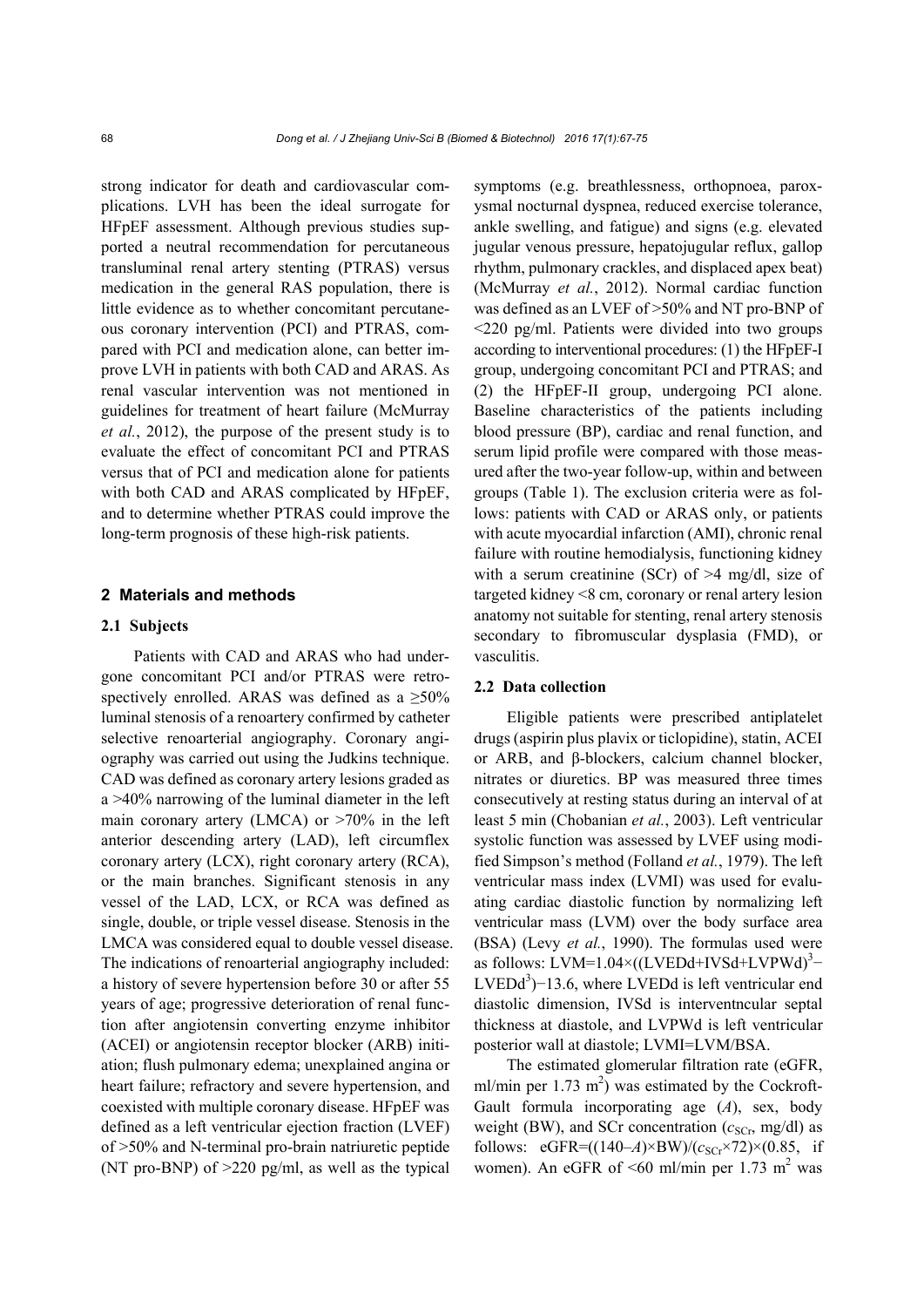strong indicator for death and cardiovascular complications. LVH has been the ideal surrogate for HFpEF assessment. Although previous studies supported a neutral recommendation for percutaneous transluminal renal artery stenting (PTRAS) versus medication in the general RAS population, there is little evidence as to whether concomitant percutaneous coronary intervention (PCI) and PTRAS, compared with PCI and medication alone, can better improve LVH in patients with both CAD and ARAS. As renal vascular intervention was not mentioned in guidelines for treatment of heart failure (McMurray *et al.*, 2012), the purpose of the present study is to evaluate the effect of concomitant PCI and PTRAS versus that of PCI and medication alone for patients with both CAD and ARAS complicated by HFpEF, and to determine whether PTRAS could improve the long-term prognosis of these high-risk patients.

#### **2 Materials and methods**

#### **2.1 Subjects**

Patients with CAD and ARAS who had undergone concomitant PCI and/or PTRAS were retrospectively enrolled. ARAS was defined as a  $\geq 50\%$ luminal stenosis of a renoartery confirmed by catheter selective renoarterial angiography. Coronary angiography was carried out using the Judkins technique. CAD was defined as coronary artery lesions graded as a >40% narrowing of the luminal diameter in the left main coronary artery (LMCA) or  $>70\%$  in the left anterior descending artery (LAD), left circumflex coronary artery (LCX), right coronary artery (RCA), or the main branches. Significant stenosis in any vessel of the LAD, LCX, or RCA was defined as single, double, or triple vessel disease. Stenosis in the LMCA was considered equal to double vessel disease. The indications of renoarterial angiography included: a history of severe hypertension before 30 or after 55 years of age; progressive deterioration of renal function after angiotensin converting enzyme inhibitor (ACEI) or angiotensin receptor blocker (ARB) initiation; flush pulmonary edema; unexplained angina or heart failure; refractory and severe hypertension, and coexisted with multiple coronary disease. HFpEF was defined as a left ventricular ejection fraction (LVEF) of >50% and N-terminal pro-brain natriuretic peptide (NT pro-BNP) of >220 pg/ml, as well as the typical

symptoms (e.g. breathlessness, orthopnoea, paroxysmal nocturnal dyspnea, reduced exercise tolerance, ankle swelling, and fatigue) and signs (e.g. elevated jugular venous pressure, hepatojugular reflux, gallop rhythm, pulmonary crackles, and displaced apex beat) (McMurray *et al.*, 2012). Normal cardiac function was defined as an LVEF of >50% and NT pro-BNP of <220 pg/ml. Patients were divided into two groups according to interventional procedures: (1) the HFpEF-I group, undergoing concomitant PCI and PTRAS; and (2) the HFpEF-II group, undergoing PCI alone. Baseline characteristics of the patients including blood pressure (BP), cardiac and renal function, and serum lipid profile were compared with those measured after the two-year follow-up, within and between groups (Table 1). The exclusion criteria were as follows: patients with CAD or ARAS only, or patients with acute myocardial infarction (AMI), chronic renal failure with routine hemodialysis, functioning kidney with a serum creatinine (SCr) of  $>4$  mg/dl, size of targeted kidney <8 cm, coronary or renal artery lesion anatomy not suitable for stenting, renal artery stenosis secondary to fibromuscular dysplasia (FMD), or vasculitis.

### **2.2 Data collection**

Eligible patients were prescribed antiplatelet drugs (aspirin plus plavix or ticlopidine), statin, ACEI or ARB, and β-blockers, calcium channel blocker, nitrates or diuretics. BP was measured three times consecutively at resting status during an interval of at least 5 min (Chobanian *et al.*, 2003). Left ventricular systolic function was assessed by LVEF using modified Simpson's method (Folland *et al.*, 1979). The left ventricular mass index (LVMI) was used for evaluating cardiac diastolic function by normalizing left ventricular mass (LVM) over the body surface area (BSA) (Levy *et al.*, 1990). The formulas used were as follows: LVM=1.04 $\times$ ((LVEDd+IVSd+LVPWd)<sup>3</sup>–  $LVEDd<sup>3</sup>$ )–13.6, where LVEDd is left ventricular end diastolic dimension, IVSd is interventncular septal thickness at diastole, and LVPWd is left ventricular posterior wall at diastole; LVMI=LVM/BSA.

The estimated glomerular filtration rate (eGFR, ml/min per 1.73  $m<sup>2</sup>$ ) was estimated by the Cockroft-Gault formula incorporating age (*A*), sex, body weight (BW), and SCr concentration  $(c_{SCr}$ , mg/dl) as follows:  $eGFR = ((140-A) \times BW)/(c_{SCr} \times 72) \times (0.85, \text{ if})$ women). An eGFR of  $\leq 60$  ml/min per 1.73 m<sup>2</sup> was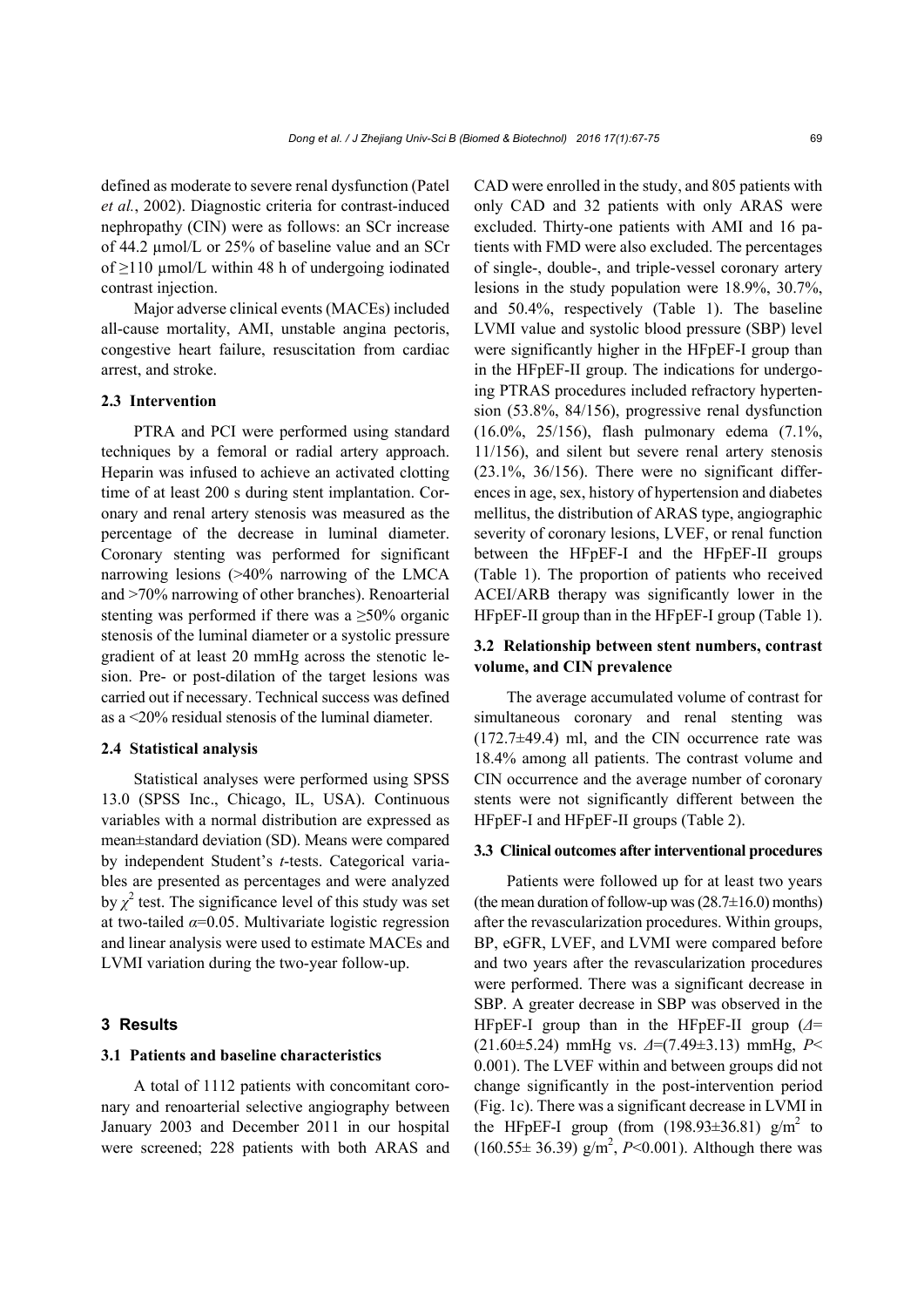defined as moderate to severe renal dysfunction (Patel *et al.*, 2002). Diagnostic criteria for contrast-induced nephropathy (CIN) were as follows: an SCr increase of 44.2 µmol/L or 25% of baseline value and an SCr of  $\geq$ 110 µmol/L within 48 h of undergoing iodinated contrast injection.

Major adverse clinical events (MACEs) included all-cause mortality, AMI, unstable angina pectoris, congestive heart failure, resuscitation from cardiac arrest, and stroke.

#### **2.3 Intervention**

PTRA and PCI were performed using standard techniques by a femoral or radial artery approach. Heparin was infused to achieve an activated clotting time of at least 200 s during stent implantation. Coronary and renal artery stenosis was measured as the percentage of the decrease in luminal diameter. Coronary stenting was performed for significant narrowing lesions (>40% narrowing of the LMCA and >70% narrowing of other branches). Renoarterial stenting was performed if there was a  $\geq 50\%$  organic stenosis of the luminal diameter or a systolic pressure gradient of at least 20 mmHg across the stenotic lesion. Pre- or post-dilation of the target lesions was carried out if necessary. Technical success was defined as a <20% residual stenosis of the luminal diameter.

#### **2.4 Statistical analysis**

Statistical analyses were performed using SPSS 13.0 (SPSS Inc., Chicago, IL, USA). Continuous variables with a normal distribution are expressed as mean±standard deviation (SD). Means were compared by independent Student's *t*-tests. Categorical variables are presented as percentages and were analyzed by  $\chi^2$  test. The significance level of this study was set at two-tailed  $\alpha$ =0.05. Multivariate logistic regression and linear analysis were used to estimate MACEs and LVMI variation during the two-year follow-up.

#### **3 Results**

#### **3.1 Patients and baseline characteristics**

A total of 1112 patients with concomitant coronary and renoarterial selective angiography between January 2003 and December 2011 in our hospital were screened; 228 patients with both ARAS and CAD were enrolled in the study, and 805 patients with only CAD and 32 patients with only ARAS were excluded. Thirty-one patients with AMI and 16 patients with FMD were also excluded. The percentages of single-, double-, and triple-vessel coronary artery lesions in the study population were 18.9%, 30.7%, and 50.4%, respectively (Table 1). The baseline LVMI value and systolic blood pressure (SBP) level were significantly higher in the HFpEF-I group than in the HFpEF-II group. The indications for undergoing PTRAS procedures included refractory hypertension (53.8%, 84/156), progressive renal dysfunction (16.0%, 25/156), flash pulmonary edema (7.1%, 11/156), and silent but severe renal artery stenosis (23.1%, 36/156). There were no significant differences in age, sex, history of hypertension and diabetes mellitus, the distribution of ARAS type, angiographic severity of coronary lesions, LVEF, or renal function between the HFpEF-I and the HFpEF-II groups (Table 1). The proportion of patients who received ACEI/ARB therapy was significantly lower in the HFpEF-II group than in the HFpEF-I group (Table 1).

#### **3.2 Relationship between stent numbers, contrast volume, and CIN prevalence**

The average accumulated volume of contrast for simultaneous coronary and renal stenting was  $(172.7\pm49.4)$  ml, and the CIN occurrence rate was 18.4% among all patients. The contrast volume and CIN occurrence and the average number of coronary stents were not significantly different between the HFpEF-I and HFpEF-II groups (Table 2).

#### **3.3 Clinical outcomes after interventional procedures**

Patients were followed up for at least two years (the mean duration of follow-up was  $(28.7\pm16.0)$  months) after the revascularization procedures. Within groups, BP, eGFR, LVEF, and LVMI were compared before and two years after the revascularization procedures were performed. There was a significant decrease in SBP. A greater decrease in SBP was observed in the HFpEF-I group than in the HFpEF-II group (*Δ*= (21.60±5.24) mmHg vs. *Δ*=(7.49±3.13) mmHg, *P*< 0.001). The LVEF within and between groups did not change significantly in the post-intervention period (Fig. 1c). There was a significant decrease in LVMI in the HFpEF-I group (from  $(198.93 \pm 36.81)$  g/m<sup>2</sup> to  $(160.55 \pm 36.39)$  g/m<sup>2</sup>, *P*<0.001). Although there was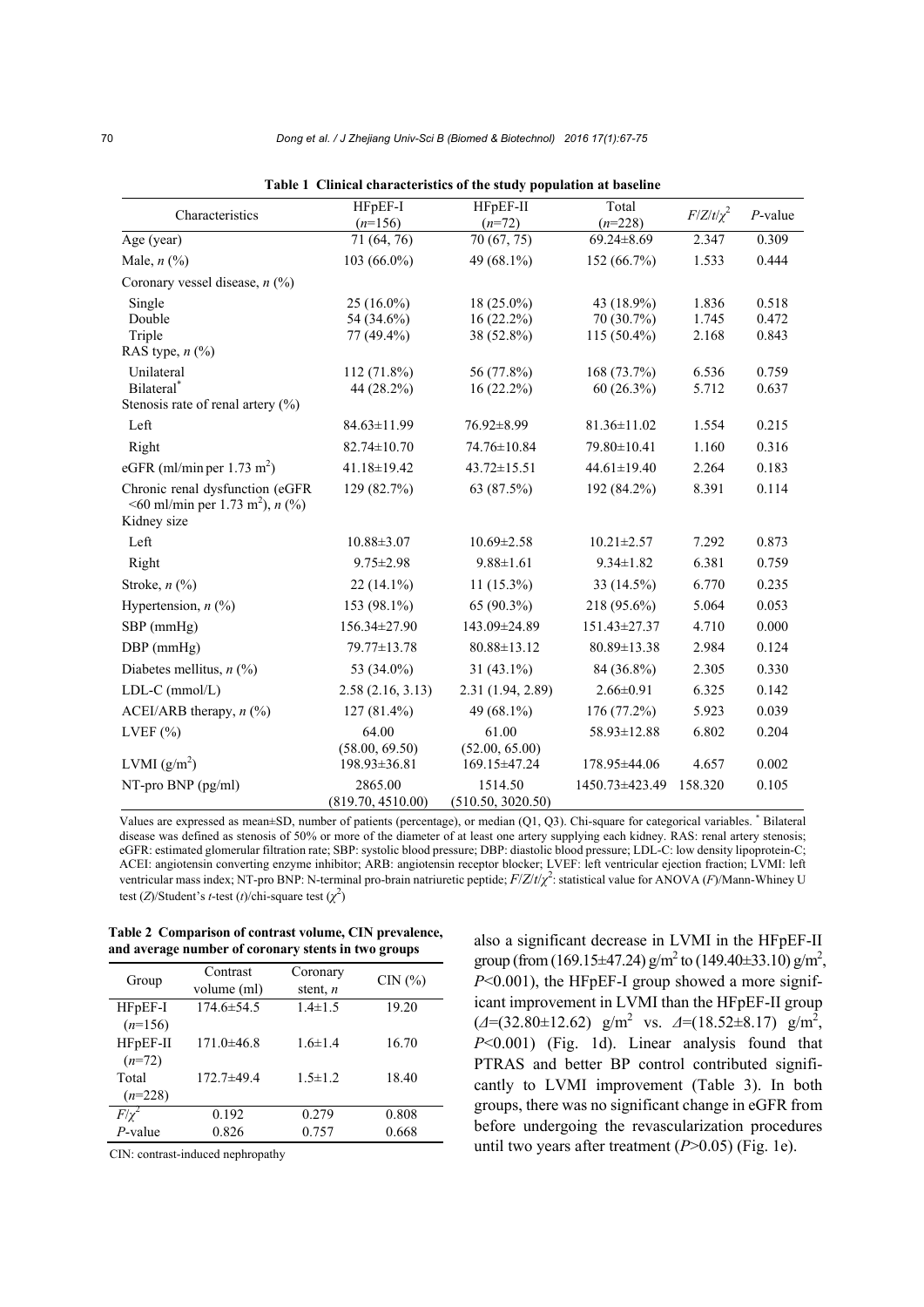| Characteristics                                                                                     | HFpEF-I<br>$(n=156)$                          | HFpEF-II<br>$(n=72)$                       | Total<br>$(n=228)$                        | $F/Z/t\chi^2$           | $P$ -value              |
|-----------------------------------------------------------------------------------------------------|-----------------------------------------------|--------------------------------------------|-------------------------------------------|-------------------------|-------------------------|
| Age (year)                                                                                          | 71 (64, 76)                                   | 70 (67, 75)                                | $69.24 \pm 8.69$                          | 2.347                   | 0.309                   |
| Male, $n$ $\left(\frac{9}{0}\right)$                                                                | 103 (66.0%)                                   | 49 (68.1%)                                 | 152 (66.7%)                               | 1.533                   | 0.444                   |
| Coronary vessel disease, $n$ (%)                                                                    |                                               |                                            |                                           |                         |                         |
| Single<br>Double<br>Triple<br>RAS type, $n$ $\left(\frac{9}{6}\right)$                              | $25(16.0\%)$<br>54 (34.6%)<br>77 (49.4%)      | $18(25.0\%)$<br>$16(22.2\%)$<br>38 (52.8%) | 43 (18.9%)<br>70 (30.7%)<br>$115(50.4\%)$ | 1.836<br>1.745<br>2.168 | 0.518<br>0.472<br>0.843 |
| Unilateral<br>Bilateral <sup>®</sup><br>Stenosis rate of renal artery $(\% )$                       | 112 (71.8%)<br>44 (28.2%)                     | 56 (77.8%)<br>$16(22.2\%)$                 | 168 (73.7%)<br>$60(26.3\%)$               | 6.536<br>5.712          | 0.759<br>0.637          |
| Left                                                                                                | $84.63 \pm 11.99$                             | $76.92 \pm 8.99$                           | $81.36 \pm 11.02$                         | 1.554                   | 0.215                   |
| Right                                                                                               | $82.74 \pm 10.70$                             | 74.76±10.84                                | 79.80±10.41                               | 1.160                   | 0.316                   |
| eGFR (ml/min per 1.73 m <sup>2</sup> )                                                              | 41.18±19.42                                   | 43.72±15.51                                | 44.61±19.40                               | 2.264                   | 0.183                   |
| Chronic renal dysfunction (eGFR<br>$\leq 60$ ml/min per 1.73 m <sup>2</sup> ), n (%)<br>Kidney size | 129 (82.7%)                                   | 63 (87.5%)                                 | 192 (84.2%)                               | 8.391                   | 0.114                   |
| Left                                                                                                | $10.88 \pm 3.07$                              | $10.69 \pm 2.58$                           | $10.21 \pm 2.57$                          | 7.292                   | 0.873                   |
| Right                                                                                               | $9.75 \pm 2.98$                               | $9.88 \pm 1.61$                            | $9.34 \pm 1.82$                           | 6.381                   | 0.759                   |
| Stroke, $n$ $\left(\frac{9}{0}\right)$                                                              | $22(14.1\%)$                                  | $11(15.3\%)$                               | 33 (14.5%)                                | 6.770                   | 0.235                   |
| Hypertension, $n$ (%)                                                                               | 153 (98.1%)                                   | 65 (90.3%)                                 | 218 (95.6%)                               | 5.064                   | 0.053                   |
| SBP (mmHg)                                                                                          | $156.34 \pm 27.90$                            | 143.09±24.89                               | $151.43 \pm 27.37$                        | 4.710                   | 0.000                   |
| $DBP$ (mmHg)                                                                                        | 79.77±13.78                                   | $80.88 \pm 13.12$                          | $80.89 \pm 13.38$                         | 2.984                   | 0.124                   |
| Diabetes mellitus, $n$ (%)                                                                          | 53 (34.0%)                                    | 31 $(43.1\%)$                              | 84 (36.8%)                                | 2.305                   | 0.330                   |
| $LDL-C$ (mmol/L)                                                                                    | 2.58(2.16, 3.13)                              | 2.31 (1.94, 2.89)                          | $2.66 \pm 0.91$                           | 6.325                   | 0.142                   |
| ACEI/ARB therapy, $n$ (%)                                                                           | 127 (81.4%)                                   | 49 (68.1%)                                 | $176(77.2\%)$                             | 5.923                   | 0.039                   |
| LVEF $(\% )$<br>LVMI $(g/m^2)$                                                                      | 64.00<br>(58.00, 69.50)<br>$198.93 \pm 36.81$ | 61.00<br>(52.00, 65.00)<br>169.15 ± 47.24  | 58.93±12.88<br>178.95±44.06               | 6.802<br>4.657          | 0.204<br>0.002          |
| NT-pro BNP (pg/ml)                                                                                  | 2865.00<br>(819.70, 4510.00)                  | 1514.50<br>(510.50, 3020.50)               | 1450.73±423.49                            | 158.320                 | 0.105                   |

|  | Table 1 Clinical characteristics of the study population at baseline |  |  |
|--|----------------------------------------------------------------------|--|--|
|  |                                                                      |  |  |

Values are expressed as mean±SD, number of patients (percentage), or median (Q1, Q3). Chi-square for categorical variables. \* Bilateral disease was defined as stenosis of 50% or more of the diameter of at least one artery supplying each kidney. RAS: renal artery stenosis; eGFR: estimated glomerular filtration rate; SBP: systolic blood pressure; DBP: diastolic blood pressure; LDL-C: low density lipoprotein-C; ACEI: angiotensin converting enzyme inhibitor; ARB: angiotensin receptor blocker; LVEF: left ventricular ejection fraction; LVMI: left ventricular mass index; NT-pro BNP: N-terminal pro-brain natriuretic peptide; *F*/*Z*/*t*/*χ* 2 : statistical value for ANOVA (*F*)/Mann-Whiney U test (*Z*)/Student's *t*-test (*t*)/chi-square test ( $\chi^2$ )

**Table 2 Comparison of contrast volume, CIN prevalence, and average number of coronary stents in two groups** 

| Group        | Contrast                  | Coronary      | CIN(%) |  |
|--------------|---------------------------|---------------|--------|--|
|              | volume (ml)<br>stent, $n$ |               |        |  |
| HFpEF-I      | $174.6 \pm 54.5$          | $1.4 \pm 1.5$ | 19.20  |  |
| $(n=156)$    |                           |               |        |  |
| HFpEF-II     | $171.0 \pm 46.8$          | $1.6 \pm 1.4$ | 16.70  |  |
| $(n=72)$     |                           |               |        |  |
| Total        | $172.7 + 49.4$            | $1.5 \pm 1.2$ | 18.40  |  |
| $(n=228)$    |                           |               |        |  |
| $F/\gamma^2$ | 0.192                     | 0.279         | 0.808  |  |
| $P$ -value   | 0.826                     | 0.757         | 0.668  |  |

CIN: contrast-induced nephropathy

also a significant decrease in LVMI in the HFpEF-II group (from (169.15±47.24)  $g/m^2$  to (149.40±33.10)  $g/m^2$ , *P*<0.001), the HFpEF-I group showed a more significant improvement in LVMI than the HFpEF-II group  $(A=(32.80\pm12.62)$  g/m<sup>2</sup> vs.  $A=(18.52\pm8.17)$  g/m<sup>2</sup>, *P*<0.001) (Fig. 1d). Linear analysis found that PTRAS and better BP control contributed significantly to LVMI improvement (Table 3). In both groups, there was no significant change in eGFR from before undergoing the revascularization procedures until two years after treatment (*P*>0.05) (Fig. 1e).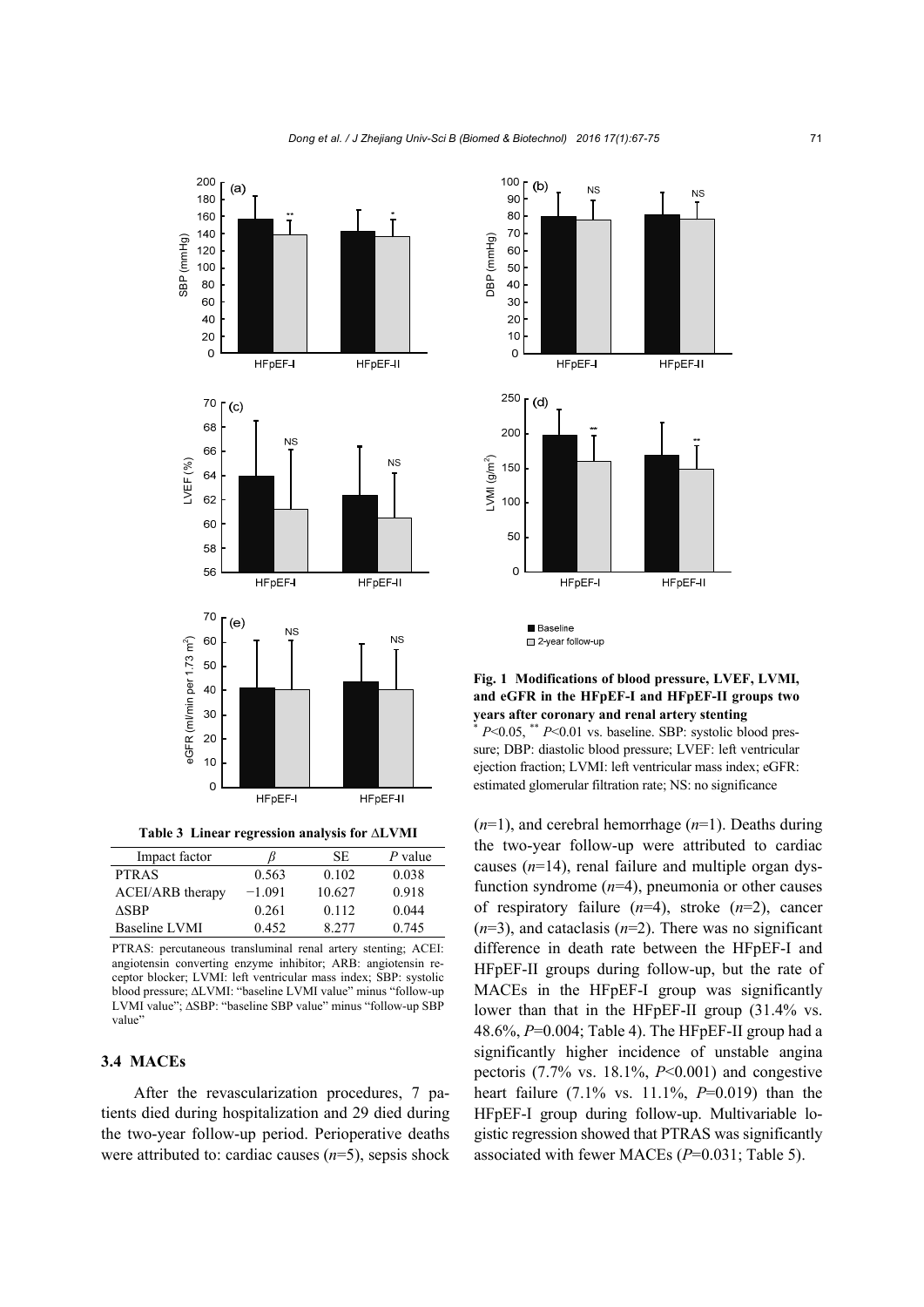

**Table 3 Linear regression analysis for ∆LVMI** 

| Impact factor           | ĸ        | SE.    | P value |
|-------------------------|----------|--------|---------|
| <b>PTRAS</b>            | 0.563    | 0.102  | 0.038   |
| <b>ACEI/ARB</b> therapy | $-1.091$ | 10.627 | 0.918   |
| <b>ASBP</b>             | 0.261    | 0.112  | 0.044   |
| Baseline LVMI           | 0.452    | 8 2.77 | 0.745   |

PTRAS: percutaneous transluminal renal artery stenting; ACEI: angiotensin converting enzyme inhibitor; ARB: angiotensin receptor blocker; LVMI: left ventricular mass index; SBP: systolic blood pressure; ∆LVMI: "baseline LVMI value" minus "follow-up LVMI value"; ∆SBP: "baseline SBP value" minus "follow-up SBP value"

### **3.4 MACEs**

After the revascularization procedures, 7 patients died during hospitalization and 29 died during the two-year follow-up period. Perioperative deaths were attributed to: cardiac causes (*n*=5), sepsis shock





\* *P*<0.05, \*\* *P*<0.01 vs. baseline. SBP: systolic blood pressure; DBP: diastolic blood pressure; LVEF: left ventricular ejection fraction; LVMI: left ventricular mass index; eGFR: estimated glomerular filtration rate; NS: no significance

(*n*=1), and cerebral hemorrhage (*n*=1). Deaths during the two-year follow-up were attributed to cardiac causes (*n*=14), renal failure and multiple organ dysfunction syndrome  $(n=4)$ , pneumonia or other causes of respiratory failure (*n*=4), stroke (*n*=2), cancer (*n*=3), and cataclasis (*n*=2). There was no significant difference in death rate between the HFpEF-I and HFpEF-II groups during follow-up, but the rate of MACEs in the HFpEF-I group was significantly lower than that in the HFpEF-II group (31.4% vs. 48.6%, *P*=0.004; Table 4). The HFpEF-II group had a significantly higher incidence of unstable angina pectoris (7.7% vs. 18.1%, *P*<0.001) and congestive heart failure (7.1% vs. 11.1%, *P*=0.019) than the HFpEF-I group during follow-up. Multivariable logistic regression showed that PTRAS was significantly associated with fewer MACEs (*P*=0.031; Table 5).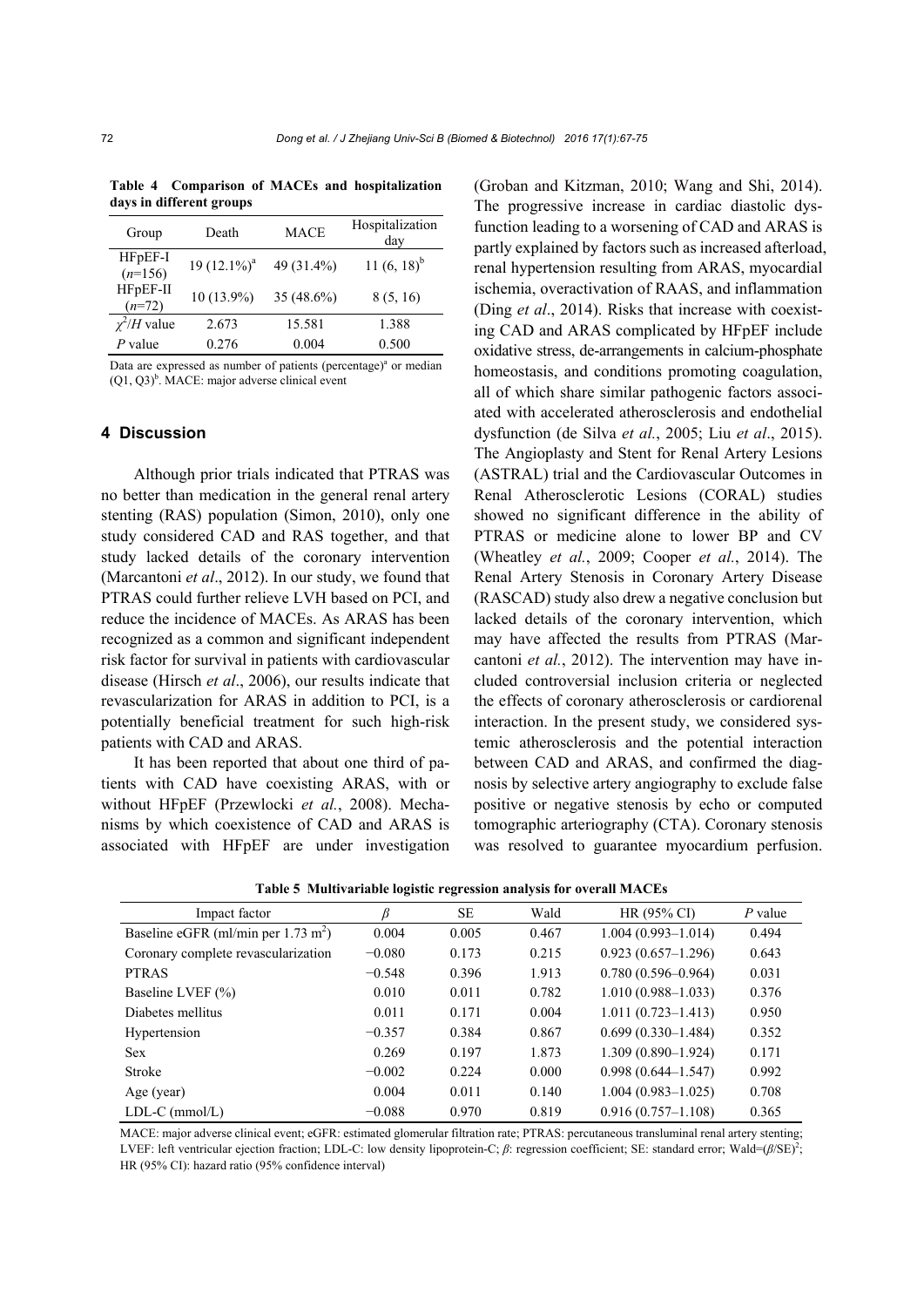| Group                | Death           | <b>MACE</b>  | Hospitalization<br>day |
|----------------------|-----------------|--------------|------------------------|
| HFpEF-I<br>$(n=156)$ | 19 $(12.1\%)^a$ | 49 (31.4%)   | 11 $(6, 18)^{b}$       |
| HFpEF-II<br>$(n=72)$ | 10 (13.9%)      | $35(48.6\%)$ | 8(5, 16)               |
| $\chi^2/H$ value     | 2.673           | 15.581       | 1.388                  |
| $P$ value            | 0.276           | 0.004        | 0.500                  |

**Table 4 Comparison of MACEs and hospitalization days in different groups**

Data are expressed as number of patients (percentage)<sup>a</sup> or median  $(Q1, Q3)^{b}$ . MACE: major adverse clinical event

# **4 Discussion**

Although prior trials indicated that PTRAS was no better than medication in the general renal artery stenting (RAS) population (Simon, 2010), only one study considered CAD and RAS together, and that study lacked details of the coronary intervention (Marcantoni *et al*., 2012). In our study, we found that PTRAS could further relieve LVH based on PCI, and reduce the incidence of MACEs. As ARAS has been recognized as a common and significant independent risk factor for survival in patients with cardiovascular disease (Hirsch *et al*., 2006), our results indicate that revascularization for ARAS in addition to PCI, is a potentially beneficial treatment for such high-risk patients with CAD and ARAS.

It has been reported that about one third of patients with CAD have coexisting ARAS, with or without HFpEF (Przewlocki *et al.*, 2008). Mechanisms by which coexistence of CAD and ARAS is associated with HFpEF are under investigation (Groban and Kitzman, 2010; Wang and Shi, 2014). The progressive increase in cardiac diastolic dysfunction leading to a worsening of CAD and ARAS is partly explained by factors such as increased afterload, renal hypertension resulting from ARAS, myocardial ischemia, overactivation of RAAS, and inflammation (Ding *et al*., 2014). Risks that increase with coexisting CAD and ARAS complicated by HFpEF include oxidative stress, de-arrangements in calcium-phosphate homeostasis, and conditions promoting coagulation, all of which share similar pathogenic factors associated with accelerated atherosclerosis and endothelial dysfunction (de Silva *et al.*, 2005; Liu *et al*., 2015). The Angioplasty and Stent for Renal Artery Lesions (ASTRAL) trial and the Cardiovascular Outcomes in Renal Atherosclerotic Lesions (CORAL) studies showed no significant difference in the ability of PTRAS or medicine alone to lower BP and CV (Wheatley *et al.*, 2009; Cooper *et al.*, 2014). The Renal Artery Stenosis in Coronary Artery Disease (RASCAD) study also drew a negative conclusion but lacked details of the coronary intervention, which may have affected the results from PTRAS (Marcantoni *et al.*, 2012). The intervention may have included controversial inclusion criteria or neglected the effects of coronary atherosclerosis or cardiorenal interaction. In the present study, we considered systemic atherosclerosis and the potential interaction between CAD and ARAS, and confirmed the diagnosis by selective artery angiography to exclude false positive or negative stenosis by echo or computed tomographic arteriography (CTA). Coronary stenosis was resolved to guarantee myocardium perfusion.

| Impact factor                                  |          | <b>SE</b> | Wald  | HR (95% CI)            | $P$ value |
|------------------------------------------------|----------|-----------|-------|------------------------|-----------|
| Baseline eGFR (ml/min per $1.73 \text{ m}^2$ ) | 0.004    | 0.005     | 0.467 | $1.004(0.993 - 1.014)$ | 0.494     |
| Coronary complete revascularization            | $-0.080$ | 0.173     | 0.215 | $0.923(0.657-1.296)$   | 0.643     |
| <b>PTRAS</b>                                   | $-0.548$ | 0.396     | 1.913 | $0.780(0.596 - 0.964)$ | 0.031     |
| Baseline LVEF (%)                              | 0.010    | 0.011     | 0.782 | $1.010(0.988 - 1.033)$ | 0.376     |
| Diabetes mellitus                              | 0.011    | 0.171     | 0.004 | $1.011(0.723 - 1.413)$ | 0.950     |
| Hypertension                                   | $-0.357$ | 0.384     | 0.867 | $0.699(0.330-1.484)$   | 0.352     |
| <b>Sex</b>                                     | 0.269    | 0.197     | 1.873 | $1.309(0.890 - 1.924)$ | 0.171     |
| Stroke                                         | $-0.002$ | 0.224     | 0.000 | $0.998(0.644 - 1.547)$ | 0.992     |
| Age (year)                                     | 0.004    | 0.011     | 0.140 | $1.004(0.983 - 1.025)$ | 0.708     |
| $LDL-C$ (mmol/L)                               | $-0.088$ | 0.970     | 0.819 | $0.916(0.757-1.108)$   | 0.365     |

**Table 5 Multivariable logistic regression analysis for overall MACEs**

MACE: major adverse clinical event; eGFR: estimated glomerular filtration rate; PTRAS: percutaneous transluminal renal artery stenting; LVEF: left ventricular ejection fraction; LDL-C: low density lipoprotein-C; *β*: regression coefficient; SE: standard error; Wald=(*β/SE*)<sup>2</sup>; HR (95% CI): hazard ratio (95% confidence interval)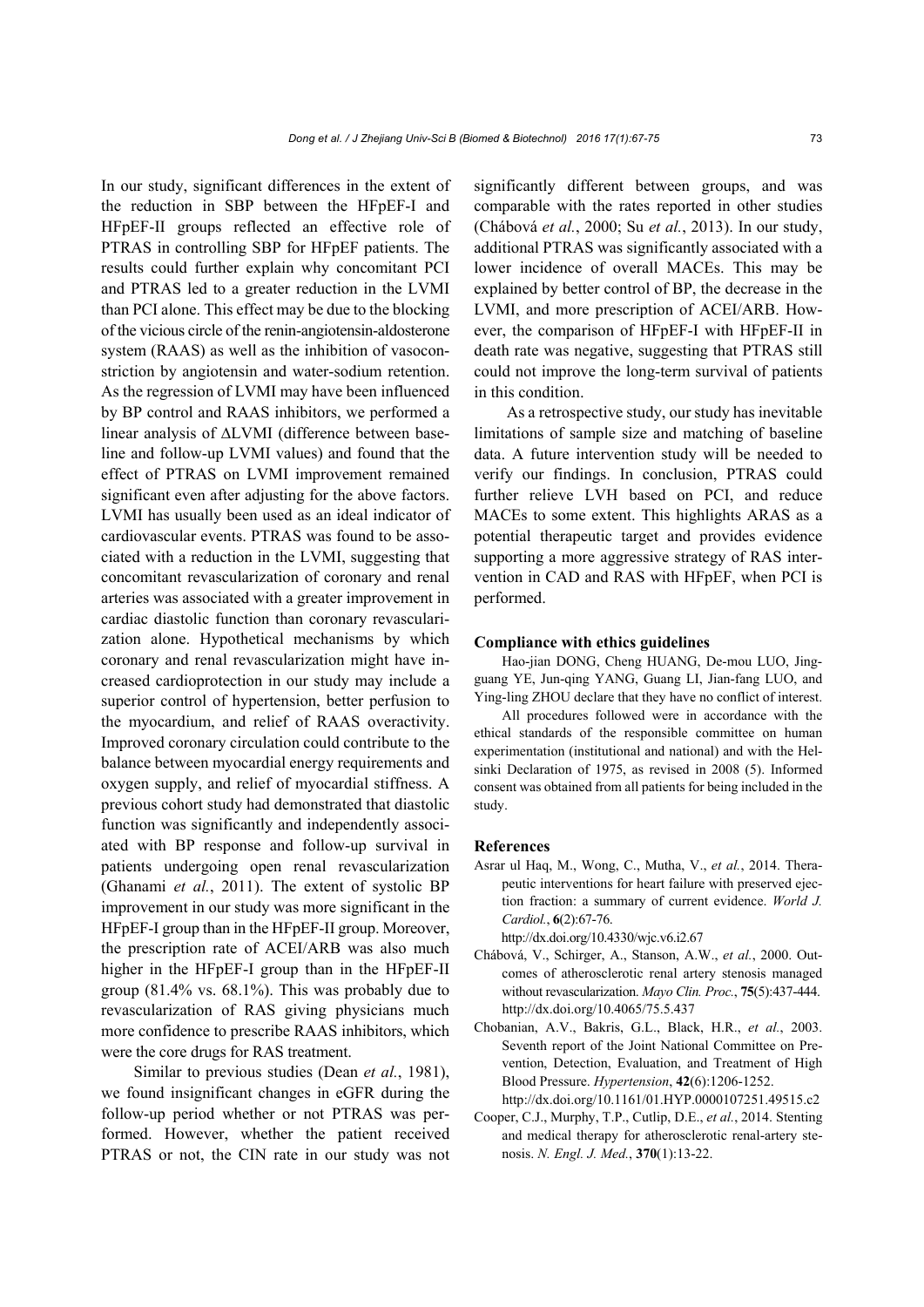In our study, significant differences in the extent of the reduction in SBP between the HFpEF-I and HFpEF-II groups reflected an effective role of PTRAS in controlling SBP for HFpEF patients. The results could further explain why concomitant PCI and PTRAS led to a greater reduction in the LVMI than PCI alone. This effect may be due to the blocking of the vicious circle of the renin-angiotensin-aldosterone system (RAAS) as well as the inhibition of vasoconstriction by angiotensin and water-sodium retention. As the regression of LVMI may have been influenced by BP control and RAAS inhibitors, we performed a linear analysis of ∆LVMI (difference between baseline and follow-up LVMI values) and found that the effect of PTRAS on LVMI improvement remained significant even after adjusting for the above factors. LVMI has usually been used as an ideal indicator of cardiovascular events. PTRAS was found to be associated with a reduction in the LVMI, suggesting that concomitant revascularization of coronary and renal arteries was associated with a greater improvement in cardiac diastolic function than coronary revascularization alone. Hypothetical mechanisms by which coronary and renal revascularization might have increased cardioprotection in our study may include a superior control of hypertension, better perfusion to the myocardium, and relief of RAAS overactivity. Improved coronary circulation could contribute to the balance between myocardial energy requirements and oxygen supply, and relief of myocardial stiffness. A previous cohort study had demonstrated that diastolic function was significantly and independently associated with BP response and follow-up survival in patients undergoing open renal revascularization (Ghanami *et al.*, 2011). The extent of systolic BP improvement in our study was more significant in the HFpEF-I group than in the HFpEF-II group. Moreover, the prescription rate of ACEI/ARB was also much higher in the HFpEF-I group than in the HFpEF-II group (81.4% vs. 68.1%). This was probably due to revascularization of RAS giving physicians much more confidence to prescribe RAAS inhibitors, which were the core drugs for RAS treatment.

Similar to previous studies (Dean *et al.*, 1981), we found insignificant changes in eGFR during the follow-up period whether or not PTRAS was performed. However, whether the patient received PTRAS or not, the CIN rate in our study was not significantly different between groups, and was comparable with the rates reported in other studies (Chábová *et al.*, 2000; Su *et al.*, 2013). In our study, additional PTRAS was significantly associated with a lower incidence of overall MACEs. This may be explained by better control of BP, the decrease in the LVMI, and more prescription of ACEI/ARB. However, the comparison of HFpEF-I with HFpEF-II in death rate was negative, suggesting that PTRAS still could not improve the long-term survival of patients in this condition.

As a retrospective study, our study has inevitable limitations of sample size and matching of baseline data. A future intervention study will be needed to verify our findings. In conclusion, PTRAS could further relieve LVH based on PCI, and reduce MACEs to some extent. This highlights ARAS as a potential therapeutic target and provides evidence supporting a more aggressive strategy of RAS intervention in CAD and RAS with HFpEF, when PCI is performed.

#### **Compliance with ethics guidelines**

Hao-jian DONG, Cheng HUANG, De-mou LUO, Jingguang YE, Jun-qing YANG, Guang LI, Jian-fang LUO, and Ying-ling ZHOU declare that they have no conflict of interest.

All procedures followed were in accordance with the ethical standards of the responsible committee on human experimentation (institutional and national) and with the Helsinki Declaration of 1975, as revised in 2008 (5). Informed consent was obtained from all patients for being included in the study.

#### **References**

Asrar ul Haq, M., Wong, C., Mutha, V., *et al.*, 2014. Therapeutic interventions for heart failure with preserved ejection fraction: a summary of current evidence. *World J. Cardiol.*, **6**(2):67-76.

http://dx.doi.org/10.4330/wjc.v6.i2.67

- Chábová, V., Schirger, A., Stanson, A.W., *et al.*, 2000. Outcomes of atherosclerotic renal artery stenosis managed without revascularization. *Mayo Clin. Proc.*, **75**(5):437-444. http://dx.doi.org/10.4065/75.5.437
- Chobanian, A.V., Bakris, G.L., Black, H.R., *et al.*, 2003. Seventh report of the Joint National Committee on Prevention, Detection, Evaluation, and Treatment of High Blood Pressure. *Hypertension*, **42**(6):1206-1252. http://dx.doi.org/10.1161/01.HYP.0000107251.49515.c2
- Cooper, C.J., Murphy, T.P., Cutlip, D.E., *et al.*, 2014. Stenting and medical therapy for atherosclerotic renal-artery stenosis. *N. Engl. J. Med.*, **370**(1):13-22.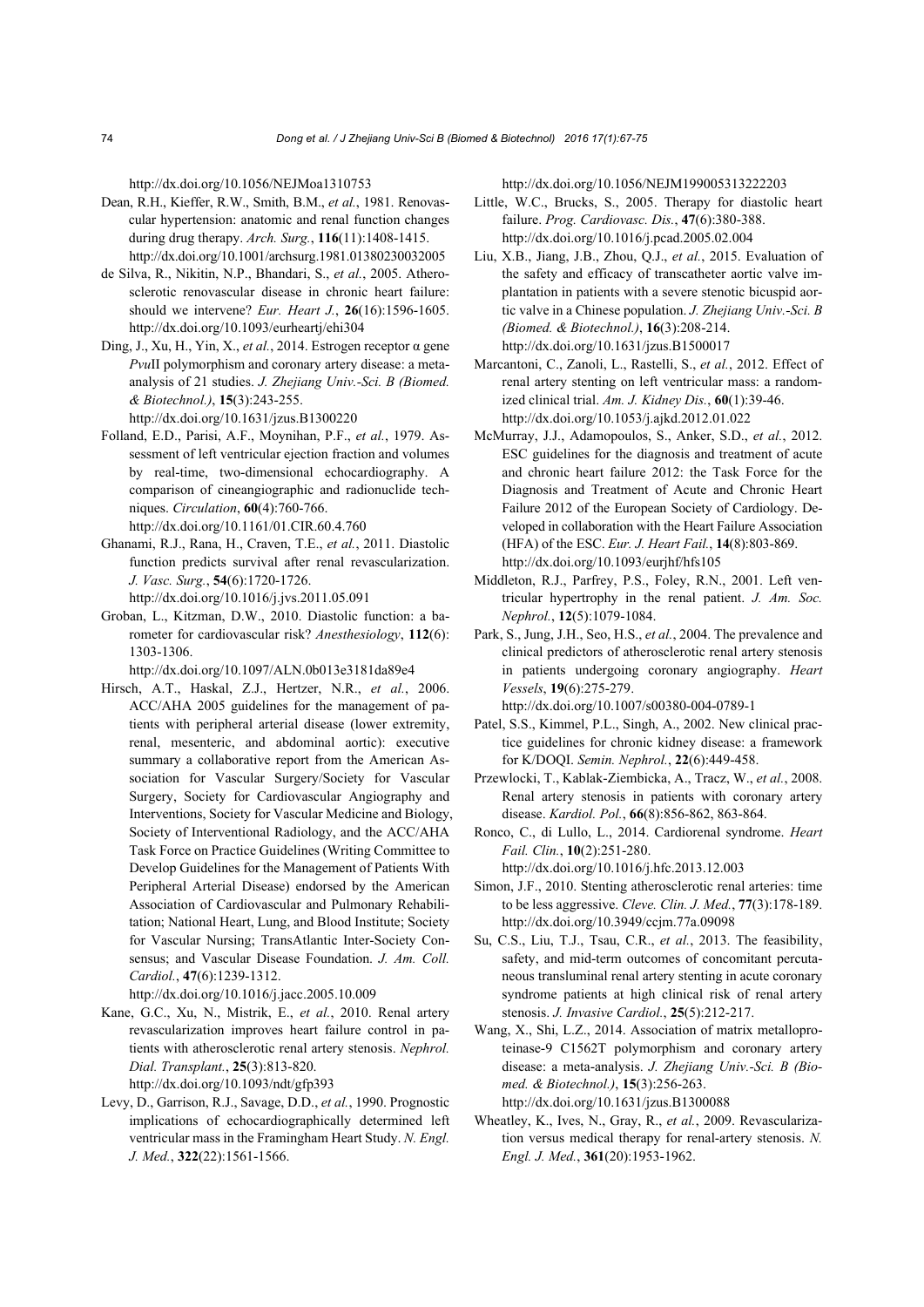http://dx.doi.org/10.1056/NEJMoa1310753

- Dean, R.H., Kieffer, R.W., Smith, B.M., *et al.*, 1981. Renovascular hypertension: anatomic and renal function changes during drug therapy. *Arch. Surg.*, **116**(11):1408-1415. http://dx.doi.org/10.1001/archsurg.1981.01380230032005
- de Silva, R., Nikitin, N.P., Bhandari, S., *et al.*, 2005. Atherosclerotic renovascular disease in chronic heart failure: should we intervene? *Eur. Heart J.*, **26**(16):1596-1605. http://dx.doi.org/10.1093/eurheartj/ehi304
- Ding, J., Xu, H., Yin, X., *et al.*, 2014. Estrogen receptor α gene *Pvu*II polymorphism and coronary artery disease: a metaanalysis of 21 studies. *J. Zhejiang Univ.-Sci. B (Biomed. & Biotechnol.)*, **15**(3):243-255.

http://dx.doi.org/10.1631/jzus.B1300220

- Folland, E.D., Parisi, A.F., Moynihan, P.F., *et al.*, 1979. Assessment of left ventricular ejection fraction and volumes by real-time, two-dimensional echocardiography. A comparison of cineangiographic and radionuclide techniques. *Circulation*, **60**(4):760-766. http://dx.doi.org/10.1161/01.CIR.60.4.760
- Ghanami, R.J., Rana, H., Craven, T.E., *et al.*, 2011. Diastolic function predicts survival after renal revascularization. *J. Vasc. Surg.*, **54**(6):1720-1726. http://dx.doi.org/10.1016/j.jvs.2011.05.091
- Groban, L., Kitzman, D.W., 2010. Diastolic function: a barometer for cardiovascular risk? *Anesthesiology*, **112**(6): 1303-1306.

http://dx.doi.org/10.1097/ALN.0b013e3181da89e4

- Hirsch, A.T., Haskal, Z.J., Hertzer, N.R., *et al.*, 2006. ACC/AHA 2005 guidelines for the management of patients with peripheral arterial disease (lower extremity, renal, mesenteric, and abdominal aortic): executive summary a collaborative report from the American Association for Vascular Surgery/Society for Vascular Surgery, Society for Cardiovascular Angiography and Interventions, Society for Vascular Medicine and Biology, Society of Interventional Radiology, and the ACC/AHA Task Force on Practice Guidelines (Writing Committee to Develop Guidelines for the Management of Patients With Peripheral Arterial Disease) endorsed by the American Association of Cardiovascular and Pulmonary Rehabilitation; National Heart, Lung, and Blood Institute; Society for Vascular Nursing; TransAtlantic Inter-Society Consensus; and Vascular Disease Foundation. *J. Am. Coll. Cardiol.*, **47**(6):1239-1312. http://dx.doi.org/10.1016/j.jacc.2005.10.009
- Kane, G.C., Xu, N., Mistrik, E., *et al.*, 2010. Renal artery revascularization improves heart failure control in patients with atherosclerotic renal artery stenosis. *Nephrol. Dial. Transplant.*, **25**(3):813-820. http://dx.doi.org/10.1093/ndt/gfp393
- Levy, D., Garrison, R.J., Savage, D.D., *et al.*, 1990. Prognostic implications of echocardiographically determined left ventricular mass in the Framingham Heart Study. *N. Engl. J. Med.*, **322**(22):1561-1566.

http://dx.doi.org/10.1056/NEJM199005313222203

- Little, W.C., Brucks, S., 2005. Therapy for diastolic heart failure. *Prog. Cardiovasc. Dis.*, **47**(6):380-388. http://dx.doi.org/10.1016/j.pcad.2005.02.004
- Liu, X.B., Jiang, J.B., Zhou, Q.J., *et al.*, 2015. Evaluation of the safety and efficacy of transcatheter aortic valve implantation in patients with a severe stenotic bicuspid aortic valve in a Chinese population. *J. Zhejiang Univ.-Sci. B (Biomed. & Biotechnol.)*, **16**(3):208-214. http://dx.doi.org/10.1631/jzus.B1500017
- Marcantoni, C., Zanoli, L., Rastelli, S., *et al.*, 2012. Effect of renal artery stenting on left ventricular mass: a randomized clinical trial. *Am. J. Kidney Dis.*, **60**(1):39-46. http://dx.doi.org/10.1053/j.ajkd.2012.01.022
- McMurray, J.J., Adamopoulos, S., Anker, S.D., *et al.*, 2012. ESC guidelines for the diagnosis and treatment of acute and chronic heart failure 2012: the Task Force for the Diagnosis and Treatment of Acute and Chronic Heart Failure 2012 of the European Society of Cardiology. Developed in collaboration with the Heart Failure Association (HFA) of the ESC. *Eur. J. Heart Fail.*, **14**(8):803-869. http://dx.doi.org/10.1093/eurjhf/hfs105
- Middleton, R.J., Parfrey, P.S., Foley, R.N., 2001. Left ventricular hypertrophy in the renal patient. *J. Am. Soc. Nephrol.*, **12**(5):1079-1084.
- Park, S., Jung, J.H., Seo, H.S., *et al.*, 2004. The prevalence and clinical predictors of atherosclerotic renal artery stenosis in patients undergoing coronary angiography. *Heart Vessels*, **19**(6):275-279. http://dx.doi.org/10.1007/s00380-004-0789-1
- Patel, S.S., Kimmel, P.L., Singh, A., 2002. New clinical practice guidelines for chronic kidney disease: a framework for K/DOQI. *Semin. Nephrol.*, **22**(6):449-458.
- Przewlocki, T., Kablak-Ziembicka, A., Tracz, W., *et al.*, 2008. Renal artery stenosis in patients with coronary artery disease. *Kardiol. Pol.*, **66**(8):856-862, 863-864.
- Ronco, C., di Lullo, L., 2014. Cardiorenal syndrome. *Heart Fail. Clin.*, **10**(2):251-280.

http://dx.doi.org/10.1016/j.hfc.2013.12.003

- Simon, J.F., 2010. Stenting atherosclerotic renal arteries: time to be less aggressive. *Cleve. Clin. J. Med.*, **77**(3):178-189. http://dx.doi.org/10.3949/ccjm.77a.09098
- Su, C.S., Liu, T.J., Tsau, C.R., *et al.*, 2013. The feasibility, safety, and mid-term outcomes of concomitant percutaneous transluminal renal artery stenting in acute coronary syndrome patients at high clinical risk of renal artery stenosis. *J. Invasive Cardiol.*, **25**(5):212-217.
- Wang, X., Shi, L.Z., 2014. Association of matrix metalloproteinase-9 C1562T polymorphism and coronary artery disease: a meta-analysis. *J. Zhejiang Univ.-Sci. B (Biomed. & Biotechnol.)*, **15**(3):256-263. http://dx.doi.org/10.1631/jzus.B1300088
- Wheatley, K., Ives, N., Gray, R., *et al.*, 2009. Revascularization versus medical therapy for renal-artery stenosis. *N. Engl. J. Med.*, **361**(20):1953-1962.